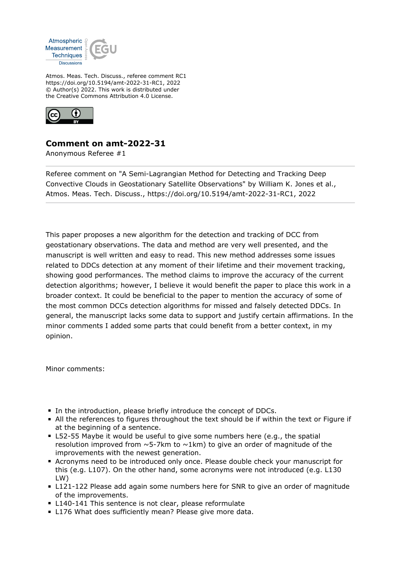

Atmos. Meas. Tech. Discuss., referee comment RC1 https://doi.org/10.5194/amt-2022-31-RC1, 2022 © Author(s) 2022. This work is distributed under the Creative Commons Attribution 4.0 License.



## **Comment on amt-2022-31**

Anonymous Referee #1

Referee comment on "A Semi-Lagrangian Method for Detecting and Tracking Deep Convective Clouds in Geostationary Satellite Observations" by William K. Jones et al., Atmos. Meas. Tech. Discuss., https://doi.org/10.5194/amt-2022-31-RC1, 2022

This paper proposes a new algorithm for the detection and tracking of DCC from geostationary observations. The data and method are very well presented, and the manuscript is well written and easy to read. This new method addresses some issues related to DDCs detection at any moment of their lifetime and their movement tracking, showing good performances. The method claims to improve the accuracy of the current detection algorithms; however, I believe it would benefit the paper to place this work in a broader context. It could be beneficial to the paper to mention the accuracy of some of the most common DCCs detection algorithms for missed and falsely detected DDCs. In general, the manuscript lacks some data to support and justify certain affirmations. In the minor comments I added some parts that could benefit from a better context, in my opinion.

Minor comments:

- In the introduction, please briefly introduce the concept of DDCs.
- All the references to figures throughout the text should be if within the text or Figure if at the beginning of a sentence.
- L52-55 Maybe it would be useful to give some numbers here (e.g., the spatial resolution improved from  $\sim$  5-7km to  $\sim$ 1km) to give an order of magnitude of the improvements with the newest generation.
- Acronyms need to be introduced only once. Please double check your manuscript for this (e.g. L107). On the other hand, some acronyms were not introduced (e.g. L130 LW)
- L121-122 Please add again some numbers here for SNR to give an order of magnitude of the improvements.
- **L140-141 This sentence is not clear, please reformulate**
- **L176 What does sufficiently mean? Please give more data.**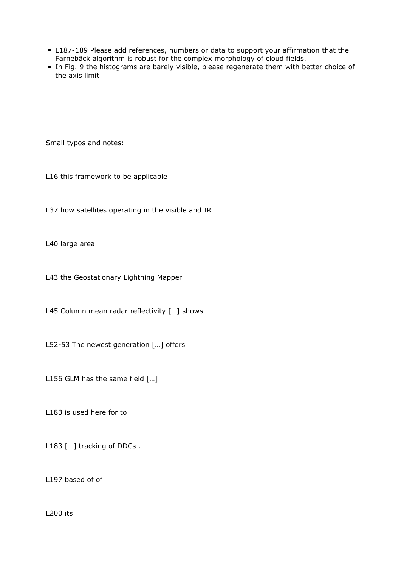- L187-189 Please add references, numbers or data to support your affirmation that the Farnebäck algorithm is robust for the complex morphology of cloud fields.
- In Fig. 9 the histograms are barely visible, please regenerate them with better choice of the axis limit

Small typos and notes:

L16 this framework to be applicable

L37 how satellites operating in the visible and IR

L40 large area

L43 the Geostationary Lightning Mapper

L45 Column mean radar reflectivity […] shows

L52-53 The newest generation […] offers

L156 GLM has the same field […]

L183 is used here for to

L183 [...] tracking of DDCs.

L197 based of of

L200 its